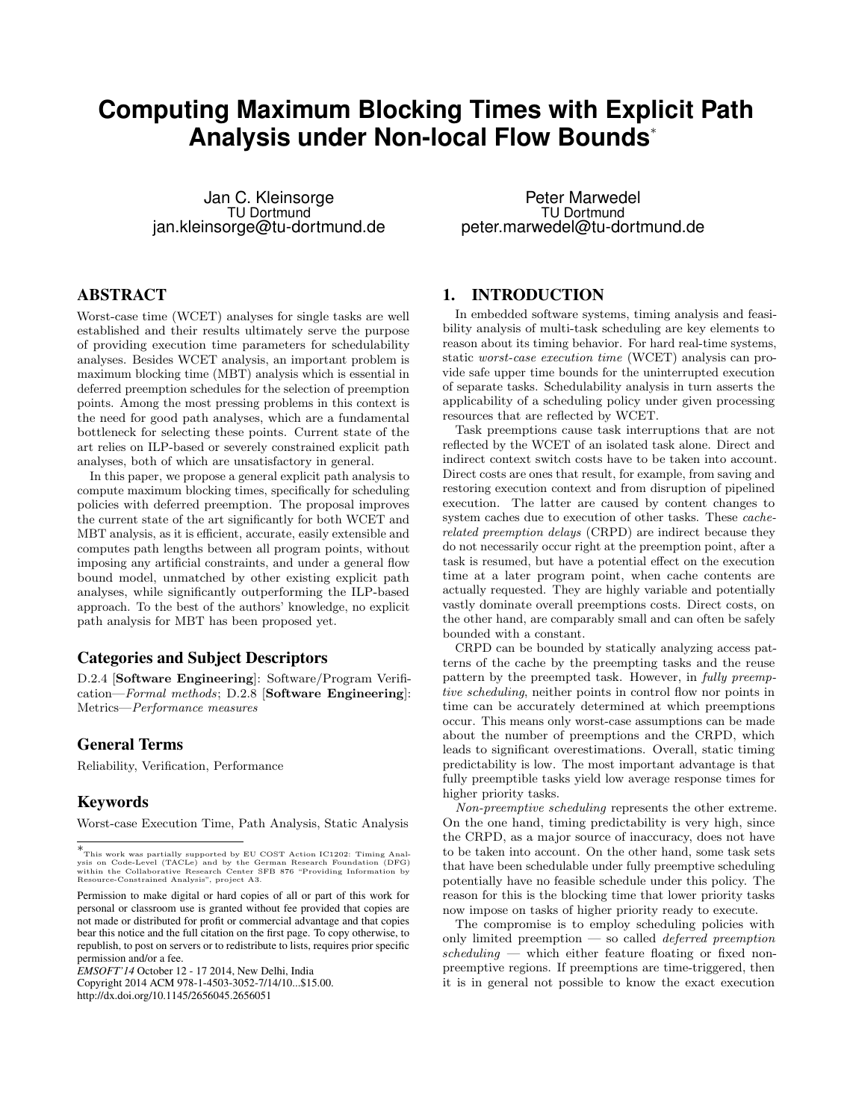# **Computing Maximum Blocking Times with Explicit Path Analysis under Non-local Flow Bounds**<sup>∗</sup>

Jan C. Kleinsorge TU Dortmund jan.kleinsorge@tu-dortmund.de

Peter Marwedel TU Dortmund peter.marwedel@tu-dortmund.de

# ABSTRACT

Worst-case time (WCET) analyses for single tasks are well established and their results ultimately serve the purpose of providing execution time parameters for schedulability analyses. Besides WCET analysis, an important problem is maximum blocking time (MBT) analysis which is essential in deferred preemption schedules for the selection of preemption points. Among the most pressing problems in this context is the need for good path analyses, which are a fundamental bottleneck for selecting these points. Current state of the art relies on ILP-based or severely constrained explicit path analyses, both of which are unsatisfactory in general.

In this paper, we propose a general explicit path analysis to compute maximum blocking times, specifically for scheduling policies with deferred preemption. The proposal improves the current state of the art significantly for both WCET and MBT analysis, as it is efficient, accurate, easily extensible and computes path lengths between all program points, without imposing any artificial constraints, and under a general flow bound model, unmatched by other existing explicit path analyses, while significantly outperforming the ILP-based approach. To the best of the authors' knowledge, no explicit path analysis for MBT has been proposed yet.

# Categories and Subject Descriptors

D.2.4 [Software Engineering]: Software/Program Verification—Formal methods; D.2.8 [Software Engineering]: Metrics—Performance measures

# General Terms

Reliability, Verification, Performance

# Keywords

Worst-case Execution Time, Path Analysis, Static Analysis

Copyright 2014 ACM 978-1-4503-3052-7/14/10...\$15.00.

http://dx.doi.org/10.1145/2656045.2656051

# 1. INTRODUCTION

In embedded software systems, timing analysis and feasibility analysis of multi-task scheduling are key elements to reason about its timing behavior. For hard real-time systems, static worst-case execution time (WCET) analysis can provide safe upper time bounds for the uninterrupted execution of separate tasks. Schedulability analysis in turn asserts the applicability of a scheduling policy under given processing resources that are reflected by WCET.

Task preemptions cause task interruptions that are not reflected by the WCET of an isolated task alone. Direct and indirect context switch costs have to be taken into account. Direct costs are ones that result, for example, from saving and restoring execution context and from disruption of pipelined execution. The latter are caused by content changes to system caches due to execution of other tasks. These cacherelated preemption delays (CRPD) are indirect because they do not necessarily occur right at the preemption point, after a task is resumed, but have a potential effect on the execution time at a later program point, when cache contents are actually requested. They are highly variable and potentially vastly dominate overall preemptions costs. Direct costs, on the other hand, are comparably small and can often be safely bounded with a constant.

CRPD can be bounded by statically analyzing access patterns of the cache by the preempting tasks and the reuse pattern by the preempted task. However, in fully preemptive scheduling, neither points in control flow nor points in time can be accurately determined at which preemptions occur. This means only worst-case assumptions can be made about the number of preemptions and the CRPD, which leads to significant overestimations. Overall, static timing predictability is low. The most important advantage is that fully preemptible tasks yield low average response times for higher priority tasks.

Non-preemptive scheduling represents the other extreme. On the one hand, timing predictability is very high, since the CRPD, as a major source of inaccuracy, does not have to be taken into account. On the other hand, some task sets that have been schedulable under fully preemptive scheduling potentially have no feasible schedule under this policy. The reason for this is the blocking time that lower priority tasks now impose on tasks of higher priority ready to execute.

The compromise is to employ scheduling policies with only limited preemption  $-$  so called *deferred preemption*  $scheduling$  — which either feature floating or fixed nonpreemptive regions. If preemptions are time-triggered, then it is in general not possible to know the exact execution

<sup>\*&</sup>lt;br>This work was partially supported by EU COST Action IC1202: Timing Analysis on Code-Level (TACLe) and by the German Research Foundation (DFG)<br>within the Collaborative Research Center SFB 876 "Providing Information by<br>Res

Permission to make digital or hard copies of all or part of this work for personal or classroom use is granted without fee provided that copies are not made or distributed for profit or commercial advantage and that copies bear this notice and the full citation on the first page. To copy otherwise, to republish, to post on servers or to redistribute to lists, requires prior specific permission and/or a fee.

*EMSOFT'14* October 12 - 17 2014, New Delhi, India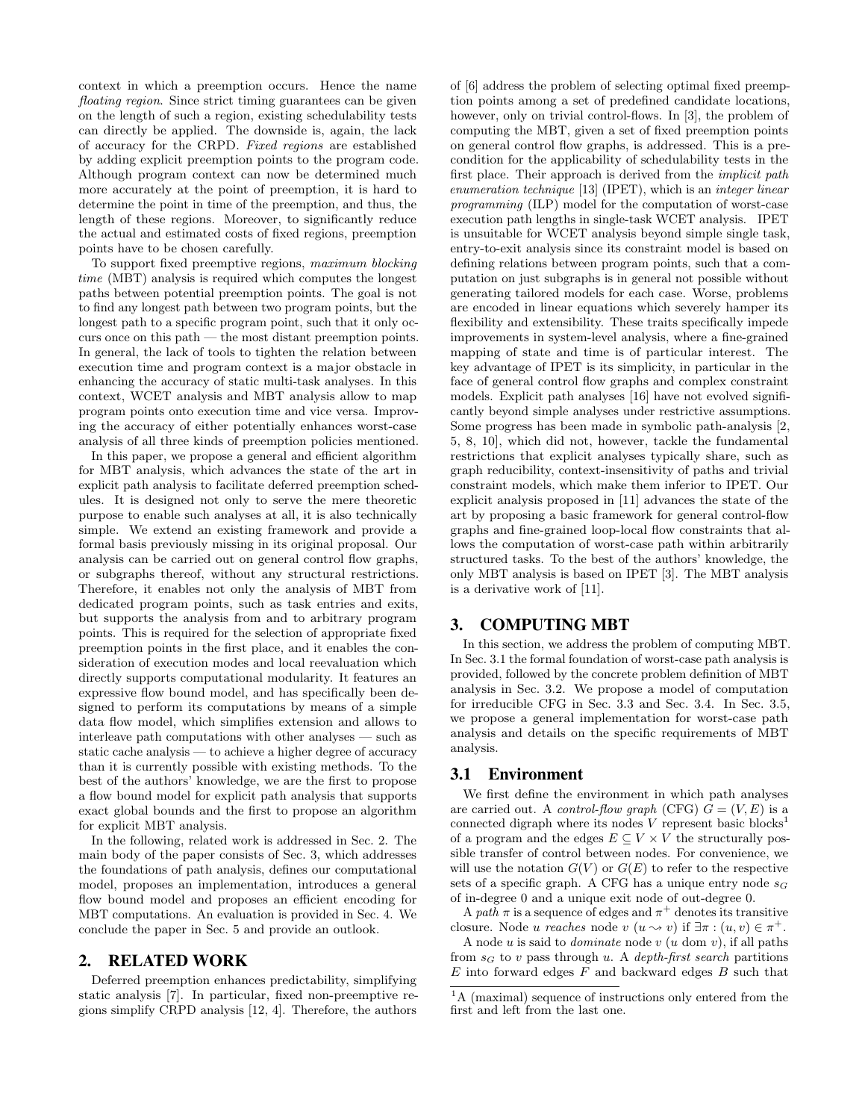context in which a preemption occurs. Hence the name floating region. Since strict timing guarantees can be given on the length of such a region, existing schedulability tests can directly be applied. The downside is, again, the lack of accuracy for the CRPD. Fixed regions are established by adding explicit preemption points to the program code. Although program context can now be determined much more accurately at the point of preemption, it is hard to determine the point in time of the preemption, and thus, the length of these regions. Moreover, to significantly reduce the actual and estimated costs of fixed regions, preemption points have to be chosen carefully.

To support fixed preemptive regions, maximum blocking time (MBT) analysis is required which computes the longest paths between potential preemption points. The goal is not to find any longest path between two program points, but the longest path to a specific program point, such that it only occurs once on this path — the most distant preemption points. In general, the lack of tools to tighten the relation between execution time and program context is a major obstacle in enhancing the accuracy of static multi-task analyses. In this context, WCET analysis and MBT analysis allow to map program points onto execution time and vice versa. Improving the accuracy of either potentially enhances worst-case analysis of all three kinds of preemption policies mentioned.

In this paper, we propose a general and efficient algorithm for MBT analysis, which advances the state of the art in explicit path analysis to facilitate deferred preemption schedules. It is designed not only to serve the mere theoretic purpose to enable such analyses at all, it is also technically simple. We extend an existing framework and provide a formal basis previously missing in its original proposal. Our analysis can be carried out on general control flow graphs, or subgraphs thereof, without any structural restrictions. Therefore, it enables not only the analysis of MBT from dedicated program points, such as task entries and exits, but supports the analysis from and to arbitrary program points. This is required for the selection of appropriate fixed preemption points in the first place, and it enables the consideration of execution modes and local reevaluation which directly supports computational modularity. It features an expressive flow bound model, and has specifically been designed to perform its computations by means of a simple data flow model, which simplifies extension and allows to interleave path computations with other analyses — such as static cache analysis — to achieve a higher degree of accuracy than it is currently possible with existing methods. To the best of the authors' knowledge, we are the first to propose a flow bound model for explicit path analysis that supports exact global bounds and the first to propose an algorithm for explicit MBT analysis.

In the following, related work is addressed in Sec. 2. The main body of the paper consists of Sec. 3, which addresses the foundations of path analysis, defines our computational model, proposes an implementation, introduces a general flow bound model and proposes an efficient encoding for MBT computations. An evaluation is provided in Sec. 4. We conclude the paper in Sec. 5 and provide an outlook.

## 2. RELATED WORK

Deferred preemption enhances predictability, simplifying static analysis [7]. In particular, fixed non-preemptive regions simplify CRPD analysis [12, 4]. Therefore, the authors of [6] address the problem of selecting optimal fixed preemption points among a set of predefined candidate locations, however, only on trivial control-flows. In [3], the problem of computing the MBT, given a set of fixed preemption points on general control flow graphs, is addressed. This is a precondition for the applicability of schedulability tests in the first place. Their approach is derived from the *implicit path* enumeration technique [13] (IPET), which is an integer linear programming (ILP) model for the computation of worst-case execution path lengths in single-task WCET analysis. IPET is unsuitable for WCET analysis beyond simple single task, entry-to-exit analysis since its constraint model is based on defining relations between program points, such that a computation on just subgraphs is in general not possible without generating tailored models for each case. Worse, problems are encoded in linear equations which severely hamper its flexibility and extensibility. These traits specifically impede improvements in system-level analysis, where a fine-grained mapping of state and time is of particular interest. The key advantage of IPET is its simplicity, in particular in the face of general control flow graphs and complex constraint models. Explicit path analyses [16] have not evolved significantly beyond simple analyses under restrictive assumptions. Some progress has been made in symbolic path-analysis [2, 5, 8, 10], which did not, however, tackle the fundamental restrictions that explicit analyses typically share, such as graph reducibility, context-insensitivity of paths and trivial constraint models, which make them inferior to IPET. Our explicit analysis proposed in [11] advances the state of the art by proposing a basic framework for general control-flow graphs and fine-grained loop-local flow constraints that allows the computation of worst-case path within arbitrarily structured tasks. To the best of the authors' knowledge, the only MBT analysis is based on IPET [3]. The MBT analysis is a derivative work of [11].

# 3. COMPUTING MBT

In this section, we address the problem of computing MBT. In Sec. 3.1 the formal foundation of worst-case path analysis is provided, followed by the concrete problem definition of MBT analysis in Sec. 3.2. We propose a model of computation for irreducible CFG in Sec. 3.3 and Sec. 3.4. In Sec. 3.5, we propose a general implementation for worst-case path analysis and details on the specific requirements of MBT analysis.

#### 3.1 Environment

We first define the environment in which path analyses are carried out. A *control-flow graph* (CFG)  $G = (V, E)$  is a connected digraph where its nodes  $V$  represent basic blocks<sup>1</sup> of a program and the edges  $E \subseteq V \times V$  the structurally possible transfer of control between nodes. For convenience, we will use the notation  $G(V)$  or  $G(E)$  to refer to the respective sets of a specific graph. A CFG has a unique entry node  $s_G$ of in-degree 0 and a unique exit node of out-degree 0.

A path  $\pi$  is a sequence of edges and  $\pi^+$  denotes its transitive closure. Node u reaches node v  $(u \leadsto v)$  if  $\exists \pi : (u, v) \in \pi^+$ .

A node u is said to *dominate* node  $v$  ( $u$  dom  $v$ ), if all paths from  $s_G$  to v pass through u. A depth-first search partitions  $E$  into forward edges  $F$  and backward edges  $B$  such that

 $^1\mathrm{A}$  (maximal) sequence of instructions only entered from the first and left from the last one.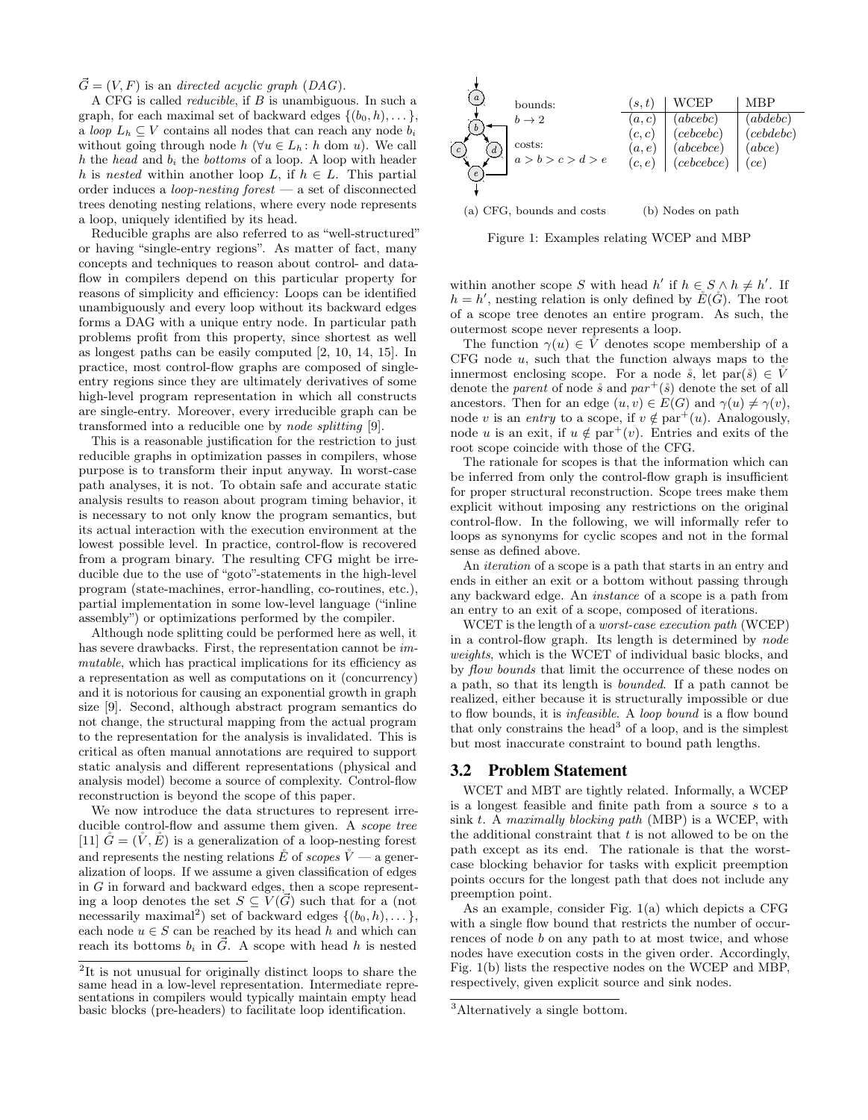$\vec{G} = (V, F)$  is an directed acyclic graph (DAG).

A CFG is called reducible, if B is unambiguous. In such a graph, for each maximal set of backward edges  $\{(b_0, h), \dots\}$ , a loop  $L_h \subset V$  contains all nodes that can reach any node  $b_i$ without going through node  $h$  ( $\forall u \in L_h : h$  dom u). We call h the head and  $b_i$  the bottoms of a loop. A loop with header h is nested within another loop L, if  $h \in L$ . This partial order induces a loop-nesting forest — a set of disconnected trees denoting nesting relations, where every node represents a loop, uniquely identified by its head.

Reducible graphs are also referred to as "well-structured" or having "single-entry regions". As matter of fact, many concepts and techniques to reason about control- and dataflow in compilers depend on this particular property for reasons of simplicity and efficiency: Loops can be identified unambiguously and every loop without its backward edges forms a DAG with a unique entry node. In particular path problems profit from this property, since shortest as well as longest paths can be easily computed [2, 10, 14, 15]. In practice, most control-flow graphs are composed of singleentry regions since they are ultimately derivatives of some high-level program representation in which all constructs are single-entry. Moreover, every irreducible graph can be transformed into a reducible one by node splitting [9].

This is a reasonable justification for the restriction to just reducible graphs in optimization passes in compilers, whose purpose is to transform their input anyway. In worst-case path analyses, it is not. To obtain safe and accurate static analysis results to reason about program timing behavior, it is necessary to not only know the program semantics, but its actual interaction with the execution environment at the lowest possible level. In practice, control-flow is recovered from a program binary. The resulting CFG might be irreducible due to the use of "goto"-statements in the high-level program (state-machines, error-handling, co-routines, etc.), partial implementation in some low-level language ("inline assembly") or optimizations performed by the compiler.

Although node splitting could be performed here as well, it has severe drawbacks. First, the representation cannot be *im*mutable, which has practical implications for its efficiency as a representation as well as computations on it (concurrency) and it is notorious for causing an exponential growth in graph size [9]. Second, although abstract program semantics do not change, the structural mapping from the actual program to the representation for the analysis is invalidated. This is critical as often manual annotations are required to support static analysis and different representations (physical and analysis model) become a source of complexity. Control-flow reconstruction is beyond the scope of this paper.

We now introduce the data structures to represent irreducible control-flow and assume them given. A *scope tree* [11]  $\mathring{G} = (\mathring{V}, \mathring{E})$  is a generalization of a loop-nesting forest and represents the nesting relations  $\mathring{E}$  of scopes  $\mathring{V}$  — a generalization of loops. If we assume a given classification of edges in G in forward and backward edges, then a scope representing a loop denotes the set  $S \subseteq V(\vec{G})$  such that for a (not necessarily maximal<sup>2</sup>) set of backward edges  $\{(b_0, h), \dots\},\$ each node  $u \in S$  can be reached by its head h and which can reach its bottoms  $b_i$  in  $\vec{G}$ . A scope with head h is nested



Figure 1: Examples relating WCEP and MBP

within another scope S with head  $h'$  if  $h \in S \wedge h \neq h'$ . If  $h = h'$ , nesting relation is only defined by  $\mathring{E}(\mathring{G})$ . The root of a scope tree denotes an entire program. As such, the outermost scope never represents a loop.

The function  $\gamma(u) \in \mathring{V}$  denotes scope membership of a CFG node  $u$ , such that the function always maps to the innermost enclosing scope. For a node  $\dot{s}$ , let  $\text{par}(\dot{s}) \in \dot{V}$ denote the *parent* of node  $\dot{s}$  and  $par^+(\dot{s})$  denote the set of all ancestors. Then for an edge  $(u, v) \in E(G)$  and  $\gamma(u) \neq \gamma(v)$ , node v is an entry to a scope, if  $v \notin$  par<sup>+</sup>(u). Analogously, node u is an exit, if  $u \notin$  par<sup>+</sup>(v). Entries and exits of the root scope coincide with those of the CFG.

The rationale for scopes is that the information which can be inferred from only the control-flow graph is insufficient for proper structural reconstruction. Scope trees make them explicit without imposing any restrictions on the original control-flow. In the following, we will informally refer to loops as synonyms for cyclic scopes and not in the formal sense as defined above.

An iteration of a scope is a path that starts in an entry and ends in either an exit or a bottom without passing through any backward edge. An instance of a scope is a path from an entry to an exit of a scope, composed of iterations.

WCET is the length of a worst-case execution path (WCEP) in a control-flow graph. Its length is determined by node weights, which is the WCET of individual basic blocks, and by flow bounds that limit the occurrence of these nodes on a path, so that its length is bounded. If a path cannot be realized, either because it is structurally impossible or due to flow bounds, it is infeasible. A loop bound is a flow bound that only constrains the head<sup>3</sup> of a loop, and is the simplest but most inaccurate constraint to bound path lengths.

## 3.2 Problem Statement

WCET and MBT are tightly related. Informally, a WCEP is a longest feasible and finite path from a source s to a sink t. A maximally blocking path (MBP) is a WCEP, with the additional constraint that  $t$  is not allowed to be on the path except as its end. The rationale is that the worstcase blocking behavior for tasks with explicit preemption points occurs for the longest path that does not include any preemption point.

As an example, consider Fig. 1(a) which depicts a CFG with a single flow bound that restricts the number of occurrences of node b on any path to at most twice, and whose nodes have execution costs in the given order. Accordingly, Fig. 1(b) lists the respective nodes on the WCEP and MBP, respectively, given explicit source and sink nodes.

<sup>&</sup>lt;sup>2</sup>It is not unusual for originally distinct loops to share the same head in a low-level representation. Intermediate representations in compilers would typically maintain empty head basic blocks (pre-headers) to facilitate loop identification.

<sup>3</sup>Alternatively a single bottom.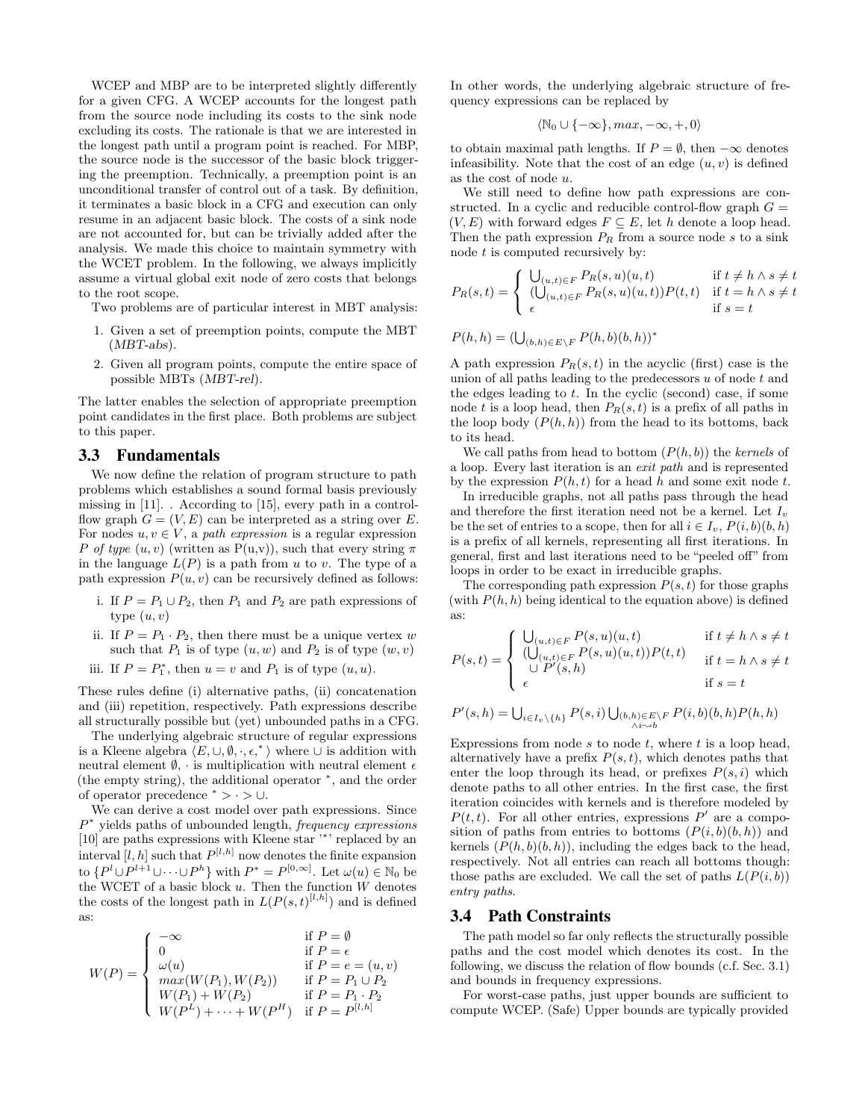WCEP and MBP are to be interpreted slightly differently for a given CFG. A WCEP accounts for the longest path from the source node including its costs to the sink node excluding its costs. The rationale is that we are interested in the longest path until a program point is reached. For MBP, the source node is the successor of the basic block triggering the preemption. Technically, a preemption point is an unconditional transfer of control out of a task. By definition, it terminates a basic block in a CFG and execution can only resume in an adjacent basic block. The costs of a sink node are not accounted for, but can be trivially added after the analysis. We made this choice to maintain symmetry with the WCET problem. In the following, we always implicitly assume a virtual global exit node of zero costs that belongs to the root scope.

Two problems are of particular interest in MBT analysis:

- 1. Given a set of preemption points, compute the MBT (MBT-abs).
- 2. Given all program points, compute the entire space of possible MBTs (MBT-rel).

The latter enables the selection of appropriate preemption point candidates in the first place. Both problems are subject to this paper.

### 3.3 Fundamentals

We now define the relation of program structure to path problems which establishes a sound formal basis previously missing in [11]. . According to [15], every path in a controlflow graph  $G = (V, E)$  can be interpreted as a string over E. For nodes  $u, v \in V$ , a path expression is a regular expression P of type  $(u, v)$  (written as P(u,v)), such that every string  $\pi$ in the language  $L(P)$  is a path from u to v. The type of a path expression  $P(u, v)$  can be recursively defined as follows:

- i. If  $P = P_1 \cup P_2$ , then  $P_1$  and  $P_2$  are path expressions of type  $(u, v)$
- ii. If  $P = P_1 \cdot P_2$ , then there must be a unique vertex w such that  $P_1$  is of type  $(u, w)$  and  $P_2$  is of type  $(w, v)$
- iii. If  $P = P_1^*$ , then  $u = v$  and  $P_1$  is of type  $(u, u)$ .

These rules define (i) alternative paths, (ii) concatenation and (iii) repetition, respectively. Path expressions describe all structurally possible but (yet) unbounded paths in a CFG.

The underlying algebraic structure of regular expressions is a Kleene algebra  $\langle E,\cup,\emptyset,\cdot,\epsilon,\rangle$  where  $\cup$  is addition with neutral element  $\emptyset$ , · is multiplication with neutral element  $\epsilon$ (the empty string), the additional operator <sup>∗</sup> , and the order of operator precedence  $*$  >  $\cdot$  > ∪.

We can derive a cost model over path expressions. Since  $P^*$  yields paths of unbounded length, frequency expressions [10] are paths expressions with Kleene star '\*' replaced by an interval  $[l, h]$  such that  $P^{[l, h]}$  now denotes the finite expansion to  $\{P^l \cup P^{l+1} \cup \cdots \cup P^h\}$  with  $P^* = P^{[0,\infty]}$ . Let  $\omega(u) \in \mathbb{N}_0$  be the WCET of a basic block  $u$ . Then the function  $\overset{\cdot}{W}$  denotes the costs of the longest path in  $L(P(s,t)^{[l,h]})$  and is defined as:

$$
W(P) = \begin{cases} -\infty & \text{if } P = \emptyset \\ 0 & \text{if } P = \epsilon \\ \omega(u) & \text{if } P = e = (u, v) \\ \max(W(P_1), W(P_2)) & \text{if } P = P_1 \cup P_2 \\ W(P_1) + W(P_2) & \text{if } P = P_1 \cdot P_2 \\ W(P^L) + \cdots + W(P^H) & \text{if } P = P^{[l, h]} \end{cases}
$$

In other words, the underlying algebraic structure of frequency expressions can be replaced by

$$
\langle \mathbb{N}_0 \cup \{-\infty\}, max, -\infty, +, 0 \rangle
$$

to obtain maximal path lengths. If  $P = \emptyset$ , then  $-\infty$  denotes infeasibility. Note that the cost of an edge  $(u, v)$  is defined as the cost of node u.

We still need to define how path expressions are constructed. In a cyclic and reducible control-flow graph  $G =$  $(V, E)$  with forward edges  $F \subseteq E$ , let h denote a loop head. Then the path expression  $P_R$  from a source node s to a sink node  $t$  is computed recursively by:

$$
P_R(s,t) = \begin{cases} \bigcup_{(u,t) \in F} P_R(s,u)(u,t) & \text{if } t \neq h \land s \neq t \\ (\bigcup_{(u,t) \in F} P_R(s,u)(u,t))P(t,t) & \text{if } t = h \land s \neq t \\ \epsilon & \text{if } s = t \end{cases}
$$

$$
P(h,h) = (\bigcup_{(b,h)\in E\backslash F} P(h,b)(b,h))^*
$$

A path expression  $P_R(s, t)$  in the acyclic (first) case is the union of all paths leading to the predecessors  $u$  of node  $t$  and the edges leading to  $t$ . In the cyclic (second) case, if some node t is a loop head, then  $P_R(s,t)$  is a prefix of all paths in the loop body  $(P(h, h))$  from the head to its bottoms, back to its head.

We call paths from head to bottom  $(P(h, b))$  the kernels of a loop. Every last iteration is an exit path and is represented by the expression  $P(h, t)$  for a head h and some exit node t.

In irreducible graphs, not all paths pass through the head and therefore the first iteration need not be a kernel. Let  $I_v$ be the set of entries to a scope, then for all  $i \in I_v$ ,  $P(i, b)(b, h)$ is a prefix of all kernels, representing all first iterations. In general, first and last iterations need to be "peeled off" from loops in order to be exact in irreducible graphs.

The corresponding path expression  $P(s, t)$  for those graphs (with  $P(h, h)$  being identical to the equation above) is defined as:

$$
P(s,t) = \begin{cases} \n\bigcup_{\substack{(u,t) \in F \\ (u,t) \in F}} P(s,u)(u,t) & \text{if } t \neq h \land s \neq t \\ \n\bigcup_{\substack{F \\ \in F}} P(s,u)(u,t))P(t,t) & \text{if } t = h \land s \neq t \\ \n\epsilon & \text{if } s = t \n\end{cases}
$$

$$
P'(s,h) = \bigcup_{i \in I_v \backslash \{h\}} P(s,i) \bigcup_{(b,h) \in E \backslash F} P(i,b)(b,h)P(h,h)
$$

Expressions from node  $s$  to node  $t$ , where  $t$  is a loop head, alternatively have a prefix  $P(s, t)$ , which denotes paths that enter the loop through its head, or prefixes  $P(s, i)$  which denote paths to all other entries. In the first case, the first iteration coincides with kernels and is therefore modeled by  $P(t, t)$ . For all other entries, expressions  $P'$  are a composition of paths from entries to bottoms  $(P(i, b)(b, h))$  and kernels  $(P(h, b)(b, h))$ , including the edges back to the head, respectively. Not all entries can reach all bottoms though: those paths are excluded. We call the set of paths  $L(P(i, b))$ entry paths.

## 3.4 Path Constraints

The path model so far only reflects the structurally possible paths and the cost model which denotes its cost. In the following, we discuss the relation of flow bounds (c.f. Sec. 3.1) and bounds in frequency expressions.

For worst-case paths, just upper bounds are sufficient to compute WCEP. (Safe) Upper bounds are typically provided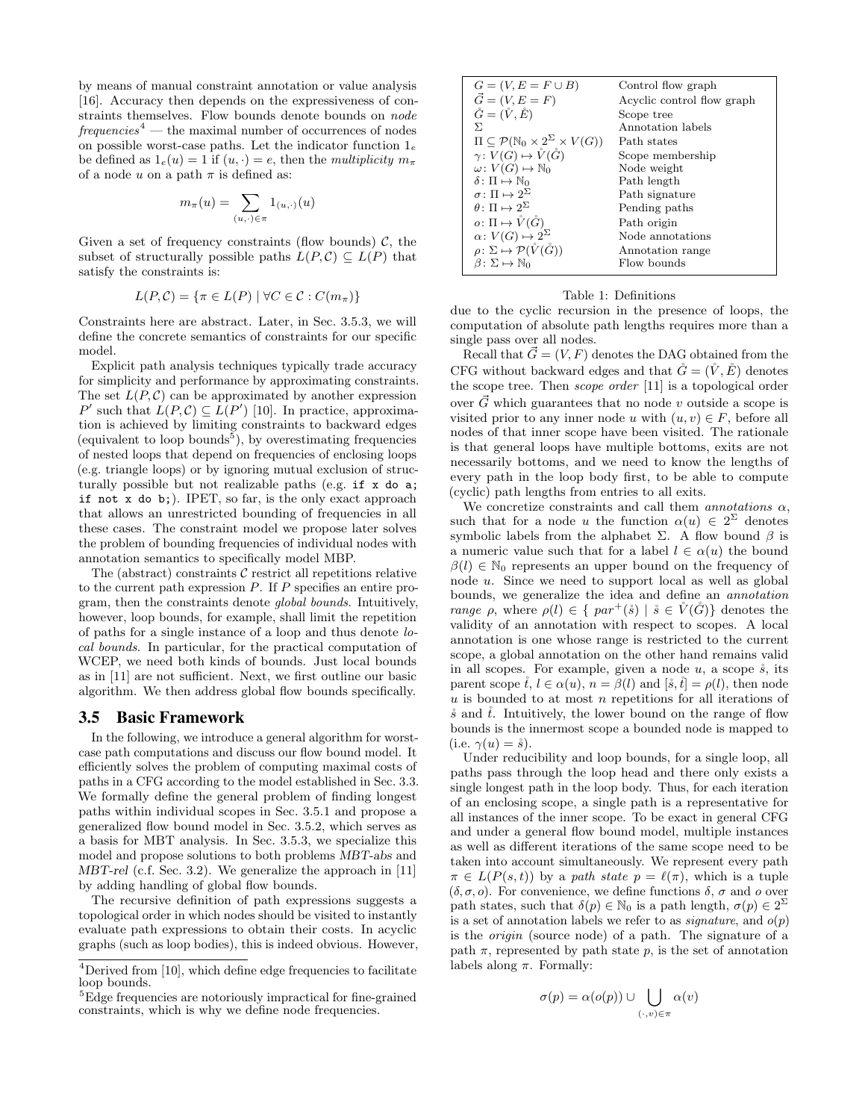by means of manual constraint annotation or value analysis [16]. Accuracy then depends on the expressiveness of constraints themselves. Flow bounds denote bounds on node  $frequencies<sup>4</sup>$  — the maximal number of occurrences of nodes on possible worst-case paths. Let the indicator function  $1_e$ be defined as  $1_e(u) = 1$  if  $(u, \cdot) = e$ , then the multiplicity  $m_\pi$ of a node u on a path  $\pi$  is defined as:

$$
m_\pi(u)=\sum_{(u,\cdot)\in\pi}1_{(u,\cdot)}(u)
$$

Given a set of frequency constraints (flow bounds)  $\mathcal{C}$ , the subset of structurally possible paths  $L(P, C) \subseteq L(P)$  that satisfy the constraints is:

$$
L(P, C) = \{ \pi \in L(P) \mid \forall C \in C : C(m_{\pi}) \}
$$

Constraints here are abstract. Later, in Sec. 3.5.3, we will define the concrete semantics of constraints for our specific model.

Explicit path analysis techniques typically trade accuracy for simplicity and performance by approximating constraints. The set  $L(P, \mathcal{C})$  can be approximated by another expression P' such that  $L(P, C) \subseteq L(P')$  [10]. In practice, approximation is achieved by limiting constraints to backward edges (equivalent to loop bounds<sup>5</sup>), by overestimating frequencies of nested loops that depend on frequencies of enclosing loops (e.g. triangle loops) or by ignoring mutual exclusion of structurally possible but not realizable paths (e.g. if x do a; if not x do b;). IPET, so far, is the only exact approach that allows an unrestricted bounding of frequencies in all these cases. The constraint model we propose later solves the problem of bounding frequencies of individual nodes with annotation semantics to specifically model MBP.

The (abstract) constraints  $C$  restrict all repetitions relative to the current path expression P. If P specifies an entire program, then the constraints denote global bounds. Intuitively, however, loop bounds, for example, shall limit the repetition of paths for a single instance of a loop and thus denote local bounds. In particular, for the practical computation of WCEP, we need both kinds of bounds. Just local bounds as in [11] are not sufficient. Next, we first outline our basic algorithm. We then address global flow bounds specifically.

#### 3.5 Basic Framework

In the following, we introduce a general algorithm for worstcase path computations and discuss our flow bound model. It efficiently solves the problem of computing maximal costs of paths in a CFG according to the model established in Sec. 3.3. We formally define the general problem of finding longest paths within individual scopes in Sec. 3.5.1 and propose a generalized flow bound model in Sec. 3.5.2, which serves as a basis for MBT analysis. In Sec. 3.5.3, we specialize this model and propose solutions to both problems MBT-abs and MBT-rel (c.f. Sec. 3.2). We generalize the approach in [11] by adding handling of global flow bounds.

The recursive definition of path expressions suggests a topological order in which nodes should be visited to instantly evaluate path expressions to obtain their costs. In acyclic graphs (such as loop bodies), this is indeed obvious. However,

| $G=(V,E=F\cup B)$                                                       | Control flow graph         |
|-------------------------------------------------------------------------|----------------------------|
| $\vec{G} = (V, E = F)$                                                  | Acyclic control flow graph |
| $\check{G} = (\check{V}, \check{E})$                                    | Scope tree                 |
| Σ                                                                       | Annotation labels          |
| $\Pi \subseteq \mathcal{P}(\mathbb{N}_0 \times 2^{\Sigma} \times V(G))$ | Path states                |
| $\gamma: V(G) \mapsto V(G)$                                             | Scope membership           |
| $\omega\colon V(G)\mapsto \mathbb{N}_0$                                 | Node weight                |
| $\delta\colon \Pi \mapsto \mathbb{N}_0$                                 | Path length                |
| $\sigma\colon \Pi \mapsto 2^{\Sigma}$                                   | Path signature             |
| $\theta\colon \Pi \mapsto 2^{\Sigma}$                                   | Pending paths              |
| $o\colon \Pi \mapsto V(\check{G})$                                      | Path origin                |
| $\alpha\colon V(G)\mapsto 2^{\Sigma}$                                   | Node annotations           |
| $\rho: \Sigma \mapsto \mathcal{P}(\mathring{V}(\mathring{G}))$          | Annotation range           |
| $\beta\colon \Sigma\mapsto \mathbb{N}_0$                                | Flow bounds                |

#### Table 1: Definitions

due to the cyclic recursion in the presence of loops, the computation of absolute path lengths requires more than a single pass over all nodes.

Recall that  $\tilde{G} = (V, F)$  denotes the DAG obtained from the CFG without backward edges and that  $\check{G} = (\check{V}, \check{E})$  denotes the scope tree. Then scope order [11] is a topological order over  $\vec{G}$  which guarantees that no node v outside a scope is visited prior to any inner node u with  $(u, v) \in F$ , before all nodes of that inner scope have been visited. The rationale is that general loops have multiple bottoms, exits are not necessarily bottoms, and we need to know the lengths of every path in the loop body first, to be able to compute (cyclic) path lengths from entries to all exits.

We concretize constraints and call them *annotations*  $\alpha$ , such that for a node u the function  $\alpha(u) \in 2^{\Sigma}$  denotes symbolic labels from the alphabet  $\Sigma$ . A flow bound  $\beta$  is a numeric value such that for a label  $l \in \alpha(u)$  the bound  $\beta(l) \in \mathbb{N}_0$  represents an upper bound on the frequency of node u. Since we need to support local as well as global bounds, we generalize the idea and define an annotation range  $\rho$ , where  $\rho(l) \in \{ par^+(\hat{s}) \mid \hat{s} \in V(\check{G}) \}$  denotes the validity of an annotation with respect to scopes. A local annotation is one whose range is restricted to the current scope, a global annotation on the other hand remains valid in all scopes. For example, given a node  $u$ , a scope  $\dot{s}$ , its parent scope  $\dot{t}, l \in \alpha(u), n = \beta(l)$  and  $[\dot{s}, \dot{t}] = \rho(l)$ , then node  $u$  is bounded to at most  $n$  repetitions for all iterations of  $\dot{s}$  and  $\dot{t}$ . Intuitively, the lower bound on the range of flow bounds is the innermost scope a bounded node is mapped to (i.e.  $\gamma(u) = \dot{s}$ ).

Under reducibility and loop bounds, for a single loop, all paths pass through the loop head and there only exists a single longest path in the loop body. Thus, for each iteration of an enclosing scope, a single path is a representative for all instances of the inner scope. To be exact in general CFG and under a general flow bound model, multiple instances as well as different iterations of the same scope need to be taken into account simultaneously. We represent every path  $\pi \in L(P(s,t))$  by a path state  $p = \ell(\pi)$ , which is a tuple  $(\delta, \sigma, o)$ . For convenience, we define functions  $\delta$ ,  $\sigma$  and  $o$  over path states, such that  $\delta(p) \in \mathbb{N}_0$  is a path length,  $\sigma(p) \in 2^{\Sigma}$ is a set of annotation labels we refer to as *signature*, and  $o(p)$ is the origin (source node) of a path. The signature of a path  $\pi$ , represented by path state p, is the set of annotation labels along  $\pi$ . Formally:

$$
\sigma(p) = \alpha(o(p)) \cup \bigcup_{(\cdot,v) \in \pi} \alpha(v)
$$

 $^4\!$  Derived from [10], which define edge frequencies to facilitate loop bounds.

<sup>5</sup>Edge frequencies are notoriously impractical for fine-grained constraints, which is why we define node frequencies.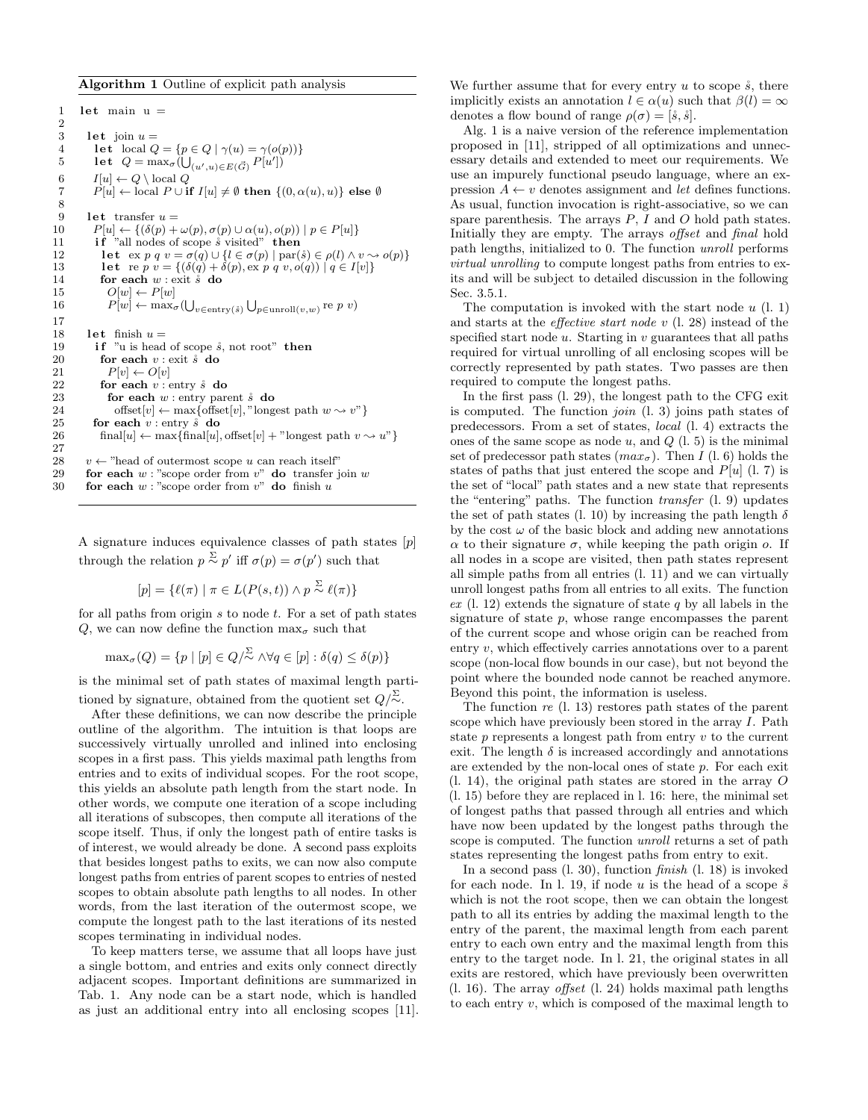#### Algorithm 1 Outline of explicit path analysis

 $1$  let main  $u =$ 2 3 let join  $u =$ 4 let  $\text{local } Q = \{p \in Q \mid \gamma(u) = \gamma(o(p))\}$ 5 let  $Q = \max_{\sigma} \widetilde{U}_{(u',u) \in E(\vec{G})} P[u'])$ 6  $I[u] \leftarrow Q \setminus \text{local } Q$ 7 P[u] ← local P  $\cup$  if  $I[u] \neq \emptyset$  then  $\{(0, \alpha(u), u)\}$  else  $\emptyset$  $\begin{array}{c} 8 \\ 9 \end{array}$ let transfer  $u =$ 10  $P[u] \leftarrow \{(\delta(p) + \omega(p), \sigma(p) \cup \alpha(u), o(p)) \mid p \in P[u]\}$ 11 if "all nodes of scope  $\dot{s}$  visited" then 12 let  $\operatorname{ex} p q v = \sigma(q) \cup \{l \in \sigma(p) \mid \operatorname{par}(\mathring{s}) \in \rho(l) \land v \leadsto o(p)\}\$ 13 let re  $p v = \{(\delta(q) + \delta(p)) \text{, } \text{ex } p \neq v, o(q)) \mid q \in I[v]\}$ <br>14 for each  $w : \text{exit } \hat{s}$  do 14 for each  $w : \text{exit} \stackrel{\circ}{\mathcal{s}}$  do<br>15  $O[w] \leftarrow P[w]$ 15  $O[w] \leftarrow P[w]$ <br>16  $P[w] \leftarrow \max_o$ 16  $P[w] \leftarrow \max_{\sigma} (\bigcup_{v \in \text{entry}(\hat{s})} \bigcup_{p \in \text{unroll}(v,w)} \text{re } p \ v)$  $\frac{17}{18}$ 18 let finish  $u =$ <br>19 if "u is head 19 if "u is head of scope  $\dot{s}$ , not root" then<br>20 for each  $v : \text{exit} \dot{s}$  do for each  $v :$  exit  $\stackrel{\circ}{s}$  do 21  $P[v] \leftarrow O[v]$ 22 for each  $v :$  entry  $\stackrel{s}{\sim}$  do 23 for each  $w :$  entry pare 23 **for each** w : entry parent  $\dot{s}$  **do**<br>24 offset[v]  $\leftarrow$  max{offset[v],"long 24 offset[v] ← max{offset[v], "longest path  $w \sim v$ "}<br>25 **for each** v : entry  $\hat{s}$  **do** for each  $v :$  entry  $\dot{s}$  do 26 final[u]  $\leftarrow$  max{final[u], offset[v] + "longest path  $v \sim u$ "}  $\frac{27}{28}$  $v \leftarrow$  "head of outermost scope u can reach itself" 29 for each  $w$  : "scope order from  $v$ " do transfer join  $w$ 30 for each  $w$  : "scope order from  $v$ " do finish  $u$ 

A signature induces equivalence classes of path states [p] through the relation  $p \stackrel{\Sigma}{\sim} p'$  iff  $\sigma(p) = \sigma(p')$  such that

$$
[p] = \{ \ell(\pi) \mid \pi \in L(P(s,t)) \land p \stackrel{\Sigma}{\sim} \ell(\pi) \}
$$

for all paths from origin  $s$  to node  $t$ . For a set of path states Q, we can now define the function  $\max_{\sigma}$  such that

$$
\max_{\sigma}(Q) = \{ p \mid [p] \in Q/\stackrel{\Sigma}{\sim} \land \forall q \in [p] : \delta(q) \le \delta(p) \}
$$

is the minimal set of path states of maximal length partitioned by signature, obtained from the quotient set  $Q/\overset{\Sigma}{\sim}$ .

After these definitions, we can now describe the principle outline of the algorithm. The intuition is that loops are successively virtually unrolled and inlined into enclosing scopes in a first pass. This yields maximal path lengths from entries and to exits of individual scopes. For the root scope, this yields an absolute path length from the start node. In other words, we compute one iteration of a scope including all iterations of subscopes, then compute all iterations of the scope itself. Thus, if only the longest path of entire tasks is of interest, we would already be done. A second pass exploits that besides longest paths to exits, we can now also compute longest paths from entries of parent scopes to entries of nested scopes to obtain absolute path lengths to all nodes. In other words, from the last iteration of the outermost scope, we compute the longest path to the last iterations of its nested scopes terminating in individual nodes.

To keep matters terse, we assume that all loops have just a single bottom, and entries and exits only connect directly adjacent scopes. Important definitions are summarized in Tab. 1. Any node can be a start node, which is handled as just an additional entry into all enclosing scopes [11]. We further assume that for every entry  $u$  to scope  $\dot{s}$ , there implicitly exists an annotation  $l \in \alpha(u)$  such that  $\beta(l) = \infty$ denotes a flow bound of range  $\rho(\sigma) = [\dot{s}, \dot{s}]$ .

Alg. 1 is a naive version of the reference implementation proposed in [11], stripped of all optimizations and unnecessary details and extended to meet our requirements. We use an impurely functional pseudo language, where an expression  $A \leftarrow v$  denotes assignment and let defines functions. As usual, function invocation is right-associative, so we can spare parenthesis. The arrays  $P$ ,  $I$  and  $O$  hold path states. Initially they are empty. The arrays offset and final hold path lengths, initialized to 0. The function unroll performs virtual unrolling to compute longest paths from entries to exits and will be subject to detailed discussion in the following Sec. 3.5.1.

The computation is invoked with the start node  $u(1, 1)$ and starts at the *effective start node v*  $(1, 28)$  instead of the specified start node  $u$ . Starting in  $v$  guarantees that all paths required for virtual unrolling of all enclosing scopes will be correctly represented by path states. Two passes are then required to compute the longest paths.

In the first pass (l. 29), the longest path to the CFG exit is computed. The function  $join (l. 3)$  joins path states of predecessors. From a set of states, local (l. 4) extracts the ones of the same scope as node  $u$ , and  $Q$  (1, 5) is the minimal set of predecessor path states  $(max_{\sigma})$ . Then I (l. 6) holds the states of paths that just entered the scope and  $P[u]$  (l. 7) is the set of "local" path states and a new state that represents the "entering" paths. The function transfer (l. 9) updates the set of path states (l. 10) by increasing the path length  $\delta$ by the cost  $\omega$  of the basic block and adding new annotations  $\alpha$  to their signature  $\sigma$ , while keeping the path origin  $\alpha$ . If all nodes in a scope are visited, then path states represent all simple paths from all entries (l. 11) and we can virtually unroll longest paths from all entries to all exits. The function  $ex$  (l. 12) extends the signature of state q by all labels in the signature of state p, whose range encompasses the parent of the current scope and whose origin can be reached from entry v, which effectively carries annotations over to a parent scope (non-local flow bounds in our case), but not beyond the point where the bounded node cannot be reached anymore. Beyond this point, the information is useless.

The function re (l. 13) restores path states of the parent scope which have previously been stored in the array  $I$ . Path state  $p$  represents a longest path from entry  $v$  to the current exit. The length  $\delta$  is increased accordingly and annotations are extended by the non-local ones of state p. For each exit (l. 14), the original path states are stored in the array O (l. 15) before they are replaced in l. 16: here, the minimal set of longest paths that passed through all entries and which have now been updated by the longest paths through the scope is computed. The function *unroll* returns a set of path states representing the longest paths from entry to exit.

In a second pass (l. 30), function finish (l. 18) is invoked for each node. In l. 19, if node u is the head of a scope  $\dot{s}$ which is not the root scope, then we can obtain the longest path to all its entries by adding the maximal length to the entry of the parent, the maximal length from each parent entry to each own entry and the maximal length from this entry to the target node. In l. 21, the original states in all exits are restored, which have previously been overwritten (l. 16). The array offset (l. 24) holds maximal path lengths to each entry v, which is composed of the maximal length to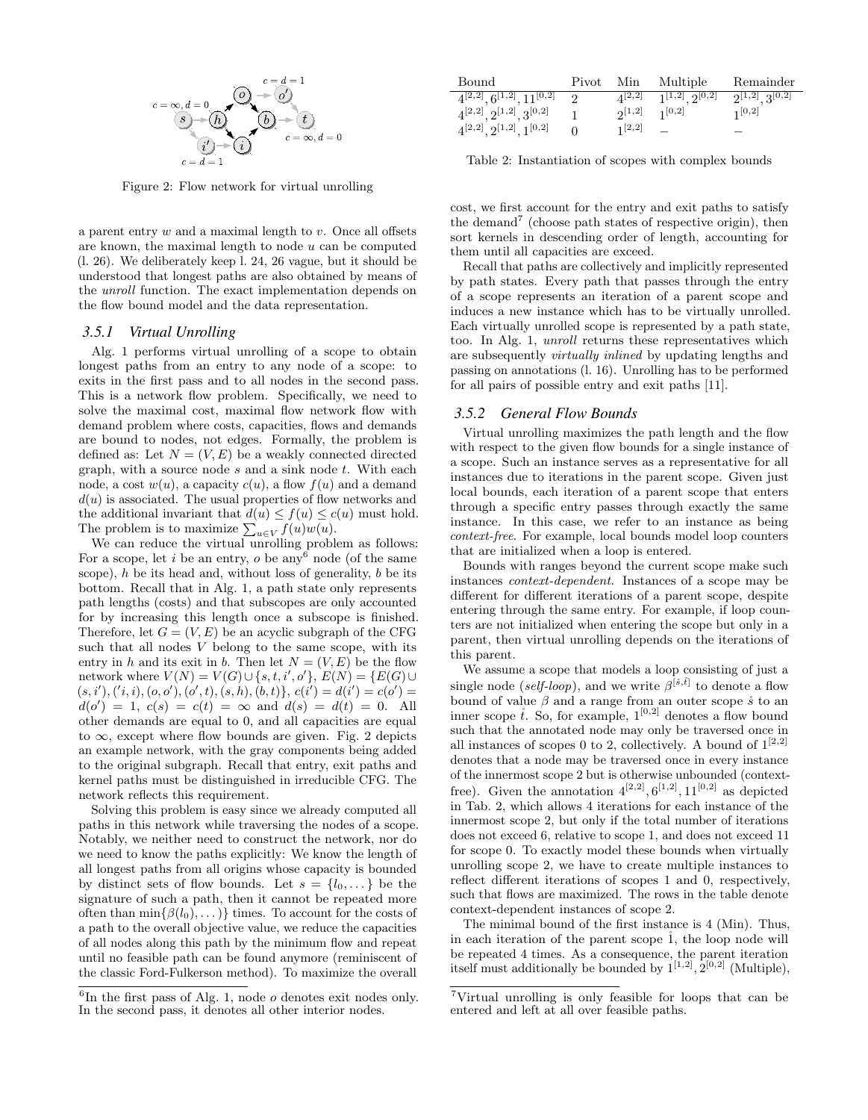

Figure 2: Flow network for virtual unrolling

a parent entry  $w$  and a maximal length to  $v$ . Once all offsets are known, the maximal length to node  $u$  can be computed (l. 26). We deliberately keep l. 24, 26 vague, but it should be understood that longest paths are also obtained by means of the unroll function. The exact implementation depends on the flow bound model and the data representation.

#### *3.5.1 Virtual Unrolling*

Alg. 1 performs virtual unrolling of a scope to obtain longest paths from an entry to any node of a scope: to exits in the first pass and to all nodes in the second pass. This is a network flow problem. Specifically, we need to solve the maximal cost, maximal flow network flow with demand problem where costs, capacities, flows and demands are bound to nodes, not edges. Formally, the problem is defined as: Let  $N = (V, E)$  be a weakly connected directed graph, with a source node  $s$  and a sink node  $t$ . With each node, a cost  $w(u)$ , a capacity  $c(u)$ , a flow  $f(u)$  and a demand  $d(u)$  is associated. The usual properties of flow networks and the additional invariant that  $d(u) \le f(u) \le c(u)$  must hold. The problem is to maximize  $\sum_{u \in V} f(u)w(u)$ .

We can reduce the virtual unrolling problem as follows: For a scope, let i be an entry, o be  $\operatorname{any}^6$  node (of the same scope),  $h$  be its head and, without loss of generality,  $b$  be its bottom. Recall that in Alg. 1, a path state only represents path lengths (costs) and that subscopes are only accounted for by increasing this length once a subscope is finished. Therefore, let  $G = (V, E)$  be an acyclic subgraph of the CFG such that all nodes  $V$  belong to the same scope, with its entry in h and its exit in b. Then let  $N = (V, E)$  be the flow network where  $V(N) = V(G) \cup \{s,t,i',o'\}, E(N) = \{E(G) \cup$  $(s, i'),('i, i), (o, o'), (o', t), (s, h), (b, t) \}, c(i') = d(i') = c(o') =$  $d(o') = 1, c(s) = c(t) = \infty \text{ and } d(s) = d(t) = 0.$  All other demands are equal to 0, and all capacities are equal to  $\infty$ , except where flow bounds are given. Fig. 2 depicts an example network, with the gray components being added to the original subgraph. Recall that entry, exit paths and kernel paths must be distinguished in irreducible CFG. The network reflects this requirement.

Solving this problem is easy since we already computed all paths in this network while traversing the nodes of a scope. Notably, we neither need to construct the network, nor do we need to know the paths explicitly: We know the length of all longest paths from all origins whose capacity is bounded by distinct sets of flow bounds. Let  $s = \{l_0, \dots\}$  be the signature of such a path, then it cannot be repeated more often than  $\min\{\beta(l_0),\dots\}$  times. To account for the costs of a path to the overall objective value, we reduce the capacities of all nodes along this path by the minimum flow and repeat until no feasible path can be found anymore (reminiscent of the classic Ford-Fulkerson method). To maximize the overall

| Bound                                   | Pivot | Min         | Multiple                            | Remainder               |
|-----------------------------------------|-------|-------------|-------------------------------------|-------------------------|
| $4^{[2,2]}, 6^{[1,2]}, 11^{[0,2]}$ 2    |       |             | $4^{[2,2]}$ $1^{[1,2]}$ $2^{[0,2]}$ | $2^{[1,2]}$ $3^{[0,2]}$ |
| $4^{[2,2]}$ , $2^{[1,2]}$ , $3^{[0,2]}$ |       |             | $2^{[1,2]}$ $1^{[0,2]}$             | $1^{[0,2]}$             |
| $4^{[2,2]}, 2^{[1,2]}, 1^{[0,2]}$       |       | $1^{[2,2]}$ |                                     |                         |

Table 2: Instantiation of scopes with complex bounds

cost, we first account for the entry and exit paths to satisfy the demand<sup>7</sup> (choose path states of respective origin), then sort kernels in descending order of length, accounting for them until all capacities are exceed.

Recall that paths are collectively and implicitly represented by path states. Every path that passes through the entry of a scope represents an iteration of a parent scope and induces a new instance which has to be virtually unrolled. Each virtually unrolled scope is represented by a path state, too. In Alg. 1, unroll returns these representatives which are subsequently virtually inlined by updating lengths and passing on annotations (l. 16). Unrolling has to be performed for all pairs of possible entry and exit paths [11].

#### *3.5.2 General Flow Bounds*

Virtual unrolling maximizes the path length and the flow with respect to the given flow bounds for a single instance of a scope. Such an instance serves as a representative for all instances due to iterations in the parent scope. Given just local bounds, each iteration of a parent scope that enters through a specific entry passes through exactly the same instance. In this case, we refer to an instance as being context-free. For example, local bounds model loop counters that are initialized when a loop is entered.

Bounds with ranges beyond the current scope make such instances context-dependent. Instances of a scope may be different for different iterations of a parent scope, despite entering through the same entry. For example, if loop counters are not initialized when entering the scope but only in a parent, then virtual unrolling depends on the iterations of this parent.

We assume a scope that models a loop consisting of just a single node (self-loop), and we write  $\beta^{[\hat{s}, \hat{t}]}$  to denote a flow bound of value  $\beta$  and a range from an outer scope  $\dot{s}$  to an inner scope  $\ell$ . So, for example,  $1^{[0,2]}$  denotes a flow bound such that the annotated node may only be traversed once in all instances of scopes 0 to 2, collectively. A bound of  $1^{[2,2]}$ denotes that a node may be traversed once in every instance of the innermost scope 2 but is otherwise unbounded (contextfree). Given the annotation  $4^{[2,2]}, 6^{[1,2]}, 11^{[0,2]}$  as depicted in Tab. 2, which allows 4 iterations for each instance of the innermost scope 2, but only if the total number of iterations does not exceed 6, relative to scope 1, and does not exceed 11 for scope 0. To exactly model these bounds when virtually unrolling scope 2, we have to create multiple instances to reflect different iterations of scopes 1 and 0, respectively, such that flows are maximized. The rows in the table denote context-dependent instances of scope 2.

The minimal bound of the first instance is 4 (Min). Thus, in each iteration of the parent scope  $\tilde{1}$ , the loop node will be repeated 4 times. As a consequence, the parent iteration itself must additionally be bounded by  $1^{[1,2]}$ ,  $2^{[0,2]}$  (Multiple),

 ${}^{6}$ In the first pass of Alg. 1, node  $o$  denotes exit nodes only. In the second pass, it denotes all other interior nodes.

<sup>7</sup>Virtual unrolling is only feasible for loops that can be entered and left at all over feasible paths.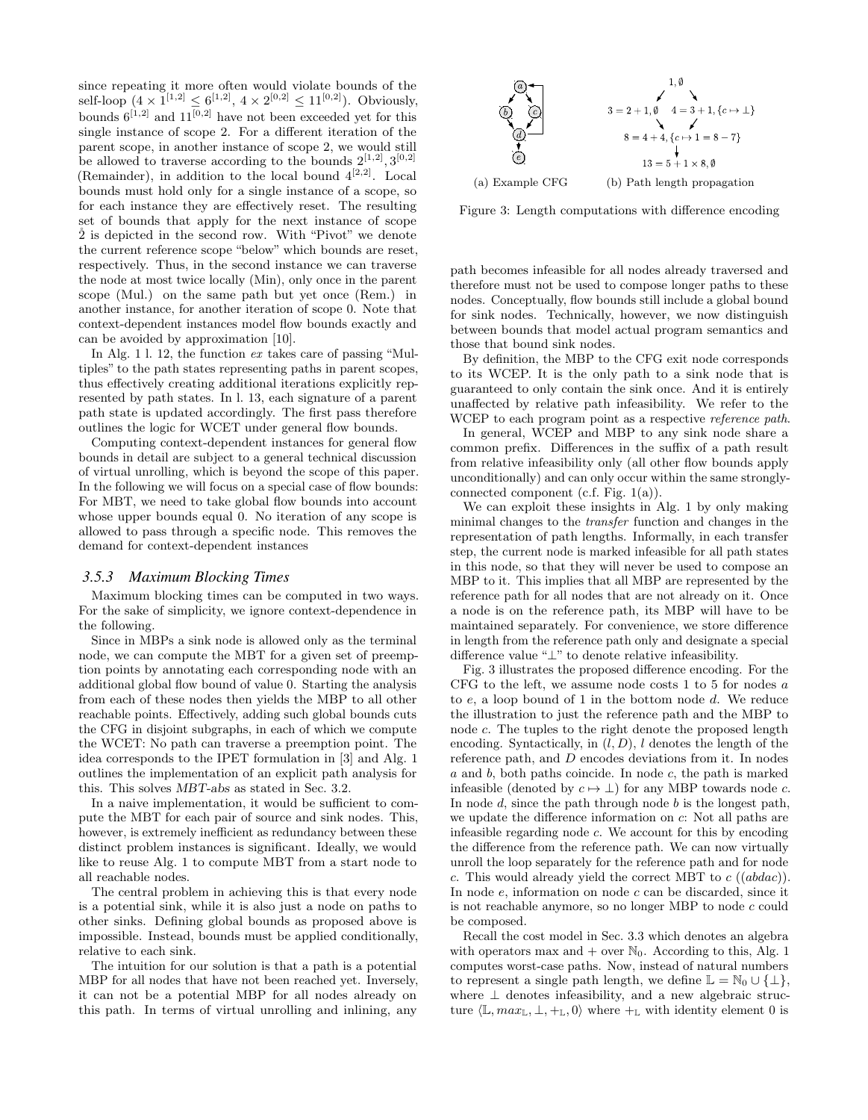since repeating it more often would violate bounds of the self-loop  $(4 \times 1^{[1,2]} \le 6^{[1,2]}, 4 \times 2^{[0,2]} \le 11^{[0,2]})$ . Obviously, bounds  $6^{[1,2]}$  and  $11^{[0,2]}$  have not been exceeded yet for this single instance of scope 2. For a different iteration of the parent scope, in another instance of scope 2, we would still be allowed to traverse according to the bounds  $2^{[1,2]}$ ,  $3^{[0,2]}$ (Remainder), in addition to the local bound  $4^{[2,2]}$ . Local bounds must hold only for a single instance of a scope, so for each instance they are effectively reset. The resulting set of bounds that apply for the next instance of scope  $\check{2}$  is depicted in the second row. With "Pivot" we denote the current reference scope "below" which bounds are reset, respectively. Thus, in the second instance we can traverse the node at most twice locally (Min), only once in the parent scope (Mul.) on the same path but yet once (Rem.) in another instance, for another iteration of scope 0. Note that context-dependent instances model flow bounds exactly and can be avoided by approximation [10].

In Alg. 1 l. 12, the function ex takes care of passing "Multiples" to the path states representing paths in parent scopes, thus effectively creating additional iterations explicitly represented by path states. In l. 13, each signature of a parent path state is updated accordingly. The first pass therefore outlines the logic for WCET under general flow bounds.

Computing context-dependent instances for general flow bounds in detail are subject to a general technical discussion of virtual unrolling, which is beyond the scope of this paper. In the following we will focus on a special case of flow bounds: For MBT, we need to take global flow bounds into account whose upper bounds equal 0. No iteration of any scope is allowed to pass through a specific node. This removes the demand for context-dependent instances

#### *3.5.3 Maximum Blocking Times*

Maximum blocking times can be computed in two ways. For the sake of simplicity, we ignore context-dependence in the following.

Since in MBPs a sink node is allowed only as the terminal node, we can compute the MBT for a given set of preemption points by annotating each corresponding node with an additional global flow bound of value 0. Starting the analysis from each of these nodes then yields the MBP to all other reachable points. Effectively, adding such global bounds cuts the CFG in disjoint subgraphs, in each of which we compute the WCET: No path can traverse a preemption point. The idea corresponds to the IPET formulation in [3] and Alg. 1 outlines the implementation of an explicit path analysis for this. This solves MBT-abs as stated in Sec. 3.2.

In a naive implementation, it would be sufficient to compute the MBT for each pair of source and sink nodes. This, however, is extremely inefficient as redundancy between these distinct problem instances is significant. Ideally, we would like to reuse Alg. 1 to compute MBT from a start node to all reachable nodes.

The central problem in achieving this is that every node is a potential sink, while it is also just a node on paths to other sinks. Defining global bounds as proposed above is impossible. Instead, bounds must be applied conditionally, relative to each sink.

The intuition for our solution is that a path is a potential MBP for all nodes that have not been reached yet. Inversely, it can not be a potential MBP for all nodes already on this path. In terms of virtual unrolling and inlining, any



Figure 3: Length computations with difference encoding

path becomes infeasible for all nodes already traversed and therefore must not be used to compose longer paths to these nodes. Conceptually, flow bounds still include a global bound for sink nodes. Technically, however, we now distinguish between bounds that model actual program semantics and those that bound sink nodes.

By definition, the MBP to the CFG exit node corresponds to its WCEP. It is the only path to a sink node that is guaranteed to only contain the sink once. And it is entirely unaffected by relative path infeasibility. We refer to the WCEP to each program point as a respective *reference path*.

In general, WCEP and MBP to any sink node share a common prefix. Differences in the suffix of a path result from relative infeasibility only (all other flow bounds apply unconditionally) and can only occur within the same stronglyconnected component (c.f. Fig. 1(a)).

We can exploit these insights in Alg. 1 by only making minimal changes to the transfer function and changes in the representation of path lengths. Informally, in each transfer step, the current node is marked infeasible for all path states in this node, so that they will never be used to compose an MBP to it. This implies that all MBP are represented by the reference path for all nodes that are not already on it. Once a node is on the reference path, its MBP will have to be maintained separately. For convenience, we store difference in length from the reference path only and designate a special difference value "⊥" to denote relative infeasibility.

Fig. 3 illustrates the proposed difference encoding. For the CFG to the left, we assume node costs  $1$  to  $5$  for nodes  $a$ to  $e$ , a loop bound of 1 in the bottom node  $d$ . We reduce the illustration to just the reference path and the MBP to node c. The tuples to the right denote the proposed length encoding. Syntactically, in  $(l, D)$ , l denotes the length of the reference path, and D encodes deviations from it. In nodes a and b, both paths coincide. In node c, the path is marked infeasible (denoted by  $c \mapsto \perp$ ) for any MBP towards node c. In node  $d$ , since the path through node  $b$  is the longest path, we update the difference information on c: Not all paths are infeasible regarding node c. We account for this by encoding the difference from the reference path. We can now virtually unroll the loop separately for the reference path and for node c. This would already yield the correct MBT to  $c \; ((abdac))$ . In node  $e$ , information on node  $c$  can be discarded, since it is not reachable anymore, so no longer MBP to node c could be composed.

Recall the cost model in Sec. 3.3 which denotes an algebra with operators max and  $+$  over  $\mathbb{N}_0$ . According to this, Alg. 1 computes worst-case paths. Now, instead of natural numbers to represent a single path length, we define  $\mathbb{L} = \mathbb{N}_0 \cup \{\perp\},\$ where ⊥ denotes infeasibility, and a new algebraic structure  $\langle \mathbb{L}, \max_{\mathbb{L}}, \bot, +_\mathbb{L}, 0 \rangle$  where  $+_\mathbb{L}$  with identity element 0 is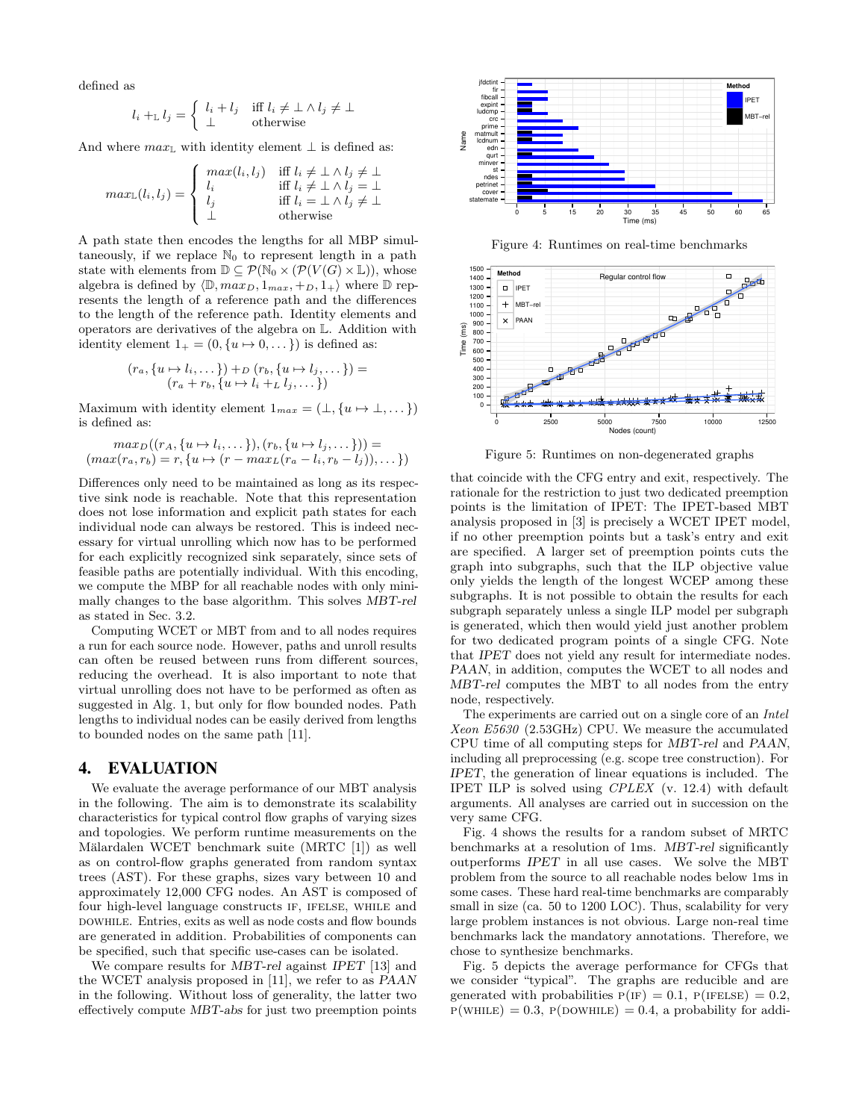defined as

$$
l_i +_{\mathbb{L}} l_j = \begin{cases} l_i + l_j & \text{iff } l_i \neq \mathbb{L} \land l_j \neq \mathbb{L} \\ \perp & \text{otherwise} \end{cases}
$$

And where  $max_{\mathbb{L}}$  with identity element  $\bot$  is defined as:

$$
max_{\mathbb{L}}(l_i, l_j) = \begin{cases} max(l_i, l_j) & \text{iff } l_i \neq \bot \land l_j \neq \bot \\ l_i & \text{iff } l_i \neq \bot \land l_j = \bot \\ l_j & \text{iff } l_i = \bot \land l_j \neq \bot \\ \bot & \text{otherwise} \end{cases}
$$

A path state then encodes the lengths for all MBP simultaneously, if we replace  $\mathbb{N}_0$  to represent length in a path state with elements from  $\mathbb{D} \subseteq \mathcal{P}(\mathbb{N}_0 \times (\mathcal{P}(V(G) \times \mathbb{L}))$ , whose algebra is defined by  $\langle \mathbb{D}, \max_D, 1_{max}, +_D, 1_+ \rangle$  where  $\mathbb{D}$  represents the length of a reference path and the differences to the length of the reference path. Identity elements and operators are derivatives of the algebra on L. Addition with identity element  $1_+ = (0, \{u \mapsto 0, \dots\})$  is defined as:

$$
(r_a, \{u \mapsto l_i, \dots\}) +_D (r_b, \{u \mapsto l_j, \dots\}) =
$$

$$
(r_a + r_b, \{u \mapsto l_i + L l_j, \dots\})
$$

Maximum with identity element  $1_{max} = (\perp, \{u \mapsto \perp, \dots\})$ is defined as:

$$
max_D((r_A, \{u \mapsto l_i, \dots\}), (r_b, \{u \mapsto l_j, \dots\})) =
$$

$$
(max(r_a, r_b) = r, \{u \mapsto (r - max_L(r_a - l_i, r_b - l_j)), \dots\})
$$

Differences only need to be maintained as long as its respective sink node is reachable. Note that this representation does not lose information and explicit path states for each individual node can always be restored. This is indeed necessary for virtual unrolling which now has to be performed for each explicitly recognized sink separately, since sets of feasible paths are potentially individual. With this encoding, we compute the MBP for all reachable nodes with only minimally changes to the base algorithm. This solves MBT-rel as stated in Sec. 3.2.

Computing WCET or MBT from and to all nodes requires a run for each source node. However, paths and unroll results can often be reused between runs from different sources, reducing the overhead. It is also important to note that virtual unrolling does not have to be performed as often as suggested in Alg. 1, but only for flow bounded nodes. Path lengths to individual nodes can be easily derived from lengths to bounded nodes on the same path [11].

## 4. EVALUATION

We evaluate the average performance of our MBT analysis in the following. The aim is to demonstrate its scalability characteristics for typical control flow graphs of varying sizes and topologies. We perform runtime measurements on the Mälardalen WCET benchmark suite (MRTC [1]) as well as on control-flow graphs generated from random syntax trees (AST). For these graphs, sizes vary between 10 and approximately 12,000 CFG nodes. An AST is composed of four high-level language constructs IF, IFELSE, WHILE and DOWHILE. Entries, exits as well as node costs and flow bounds are generated in addition. Probabilities of components can be specified, such that specific use-cases can be isolated.

We compare results for MBT-rel against IPET [13] and the WCET analysis proposed in [11], we refer to as PAAN in the following. Without loss of generality, the latter two effectively compute MBT-abs for just two preemption points



Figure 4: Runtimes on real-time benchmarks



Figure 5: Runtimes on non-degenerated graphs

that coincide with the CFG entry and exit, respectively. The rationale for the restriction to just two dedicated preemption points is the limitation of IPET: The IPET-based MBT analysis proposed in [3] is precisely a WCET IPET model, if no other preemption points but a task's entry and exit are specified. A larger set of preemption points cuts the graph into subgraphs, such that the ILP objective value only yields the length of the longest WCEP among these subgraphs. It is not possible to obtain the results for each subgraph separately unless a single ILP model per subgraph is generated, which then would yield just another problem for two dedicated program points of a single CFG. Note that IPET does not yield any result for intermediate nodes. PAAN, in addition, computes the WCET to all nodes and MBT-rel computes the MBT to all nodes from the entry node, respectively.

The experiments are carried out on a single core of an Intel Xeon E5630 (2.53GHz) CPU. We measure the accumulated CPU time of all computing steps for MBT-rel and PAAN, including all preprocessing (e.g. scope tree construction). For IPET, the generation of linear equations is included. The IPET ILP is solved using CPLEX (v. 12.4) with default arguments. All analyses are carried out in succession on the very same CFG.

Fig. 4 shows the results for a random subset of MRTC benchmarks at a resolution of 1ms. MBT-rel significantly outperforms IPET in all use cases. We solve the MBT problem from the source to all reachable nodes below 1ms in some cases. These hard real-time benchmarks are comparably small in size (ca. 50 to 1200 LOC). Thus, scalability for very large problem instances is not obvious. Large non-real time benchmarks lack the mandatory annotations. Therefore, we chose to synthesize benchmarks.

Fig. 5 depicts the average performance for CFGs that we consider "typical". The graphs are reducible and are generated with probabilities  $P(F) = 0.1$ ,  $P(FELEE) = 0.2$ ,  $p(\text{whILE}) = 0.3$ ,  $p(\text{DOWHILE}) = 0.4$ , a probability for addi-